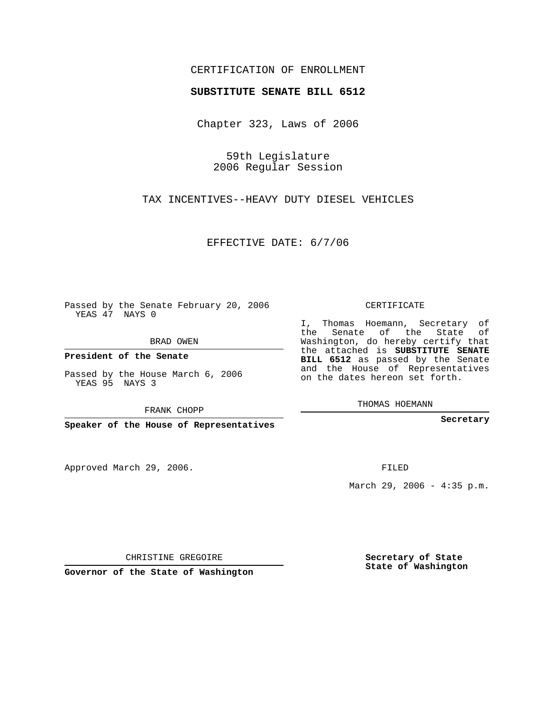## CERTIFICATION OF ENROLLMENT

## **SUBSTITUTE SENATE BILL 6512**

Chapter 323, Laws of 2006

59th Legislature 2006 Regular Session

TAX INCENTIVES--HEAVY DUTY DIESEL VEHICLES

EFFECTIVE DATE: 6/7/06

Passed by the Senate February 20, 2006 YEAS 47 NAYS 0

BRAD OWEN

**President of the Senate**

Passed by the House March 6, 2006 YEAS 95 NAYS 3

FRANK CHOPP

**Speaker of the House of Representatives**

Approved March 29, 2006.

CERTIFICATE

I, Thomas Hoemann, Secretary of the Senate of the State of Washington, do hereby certify that the attached is **SUBSTITUTE SENATE BILL 6512** as passed by the Senate and the House of Representatives on the dates hereon set forth.

THOMAS HOEMANN

**Secretary**

FILED

March 29, 2006 - 4:35 p.m.

CHRISTINE GREGOIRE

**Governor of the State of Washington**

**Secretary of State State of Washington**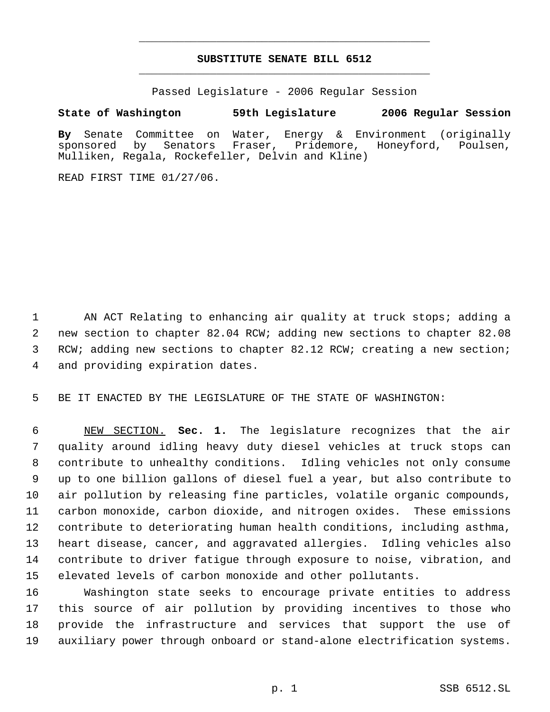## **SUBSTITUTE SENATE BILL 6512** \_\_\_\_\_\_\_\_\_\_\_\_\_\_\_\_\_\_\_\_\_\_\_\_\_\_\_\_\_\_\_\_\_\_\_\_\_\_\_\_\_\_\_\_\_

\_\_\_\_\_\_\_\_\_\_\_\_\_\_\_\_\_\_\_\_\_\_\_\_\_\_\_\_\_\_\_\_\_\_\_\_\_\_\_\_\_\_\_\_\_

Passed Legislature - 2006 Regular Session

## **State of Washington 59th Legislature 2006 Regular Session**

**By** Senate Committee on Water, Energy & Environment (originally sponsored by Senators Fraser, Pridemore, Honeyford, Poulsen, Mulliken, Regala, Rockefeller, Delvin and Kline)

READ FIRST TIME 01/27/06.

1 AN ACT Relating to enhancing air quality at truck stops; adding a 2 new section to chapter 82.04 RCW; adding new sections to chapter 82.08 3 RCW; adding new sections to chapter 82.12 RCW; creating a new section; 4 and providing expiration dates.

5 BE IT ENACTED BY THE LEGISLATURE OF THE STATE OF WASHINGTON:

 NEW SECTION. **Sec. 1.** The legislature recognizes that the air quality around idling heavy duty diesel vehicles at truck stops can contribute to unhealthy conditions. Idling vehicles not only consume up to one billion gallons of diesel fuel a year, but also contribute to air pollution by releasing fine particles, volatile organic compounds, carbon monoxide, carbon dioxide, and nitrogen oxides. These emissions contribute to deteriorating human health conditions, including asthma, heart disease, cancer, and aggravated allergies. Idling vehicles also contribute to driver fatigue through exposure to noise, vibration, and elevated levels of carbon monoxide and other pollutants.

 Washington state seeks to encourage private entities to address this source of air pollution by providing incentives to those who provide the infrastructure and services that support the use of auxiliary power through onboard or stand-alone electrification systems.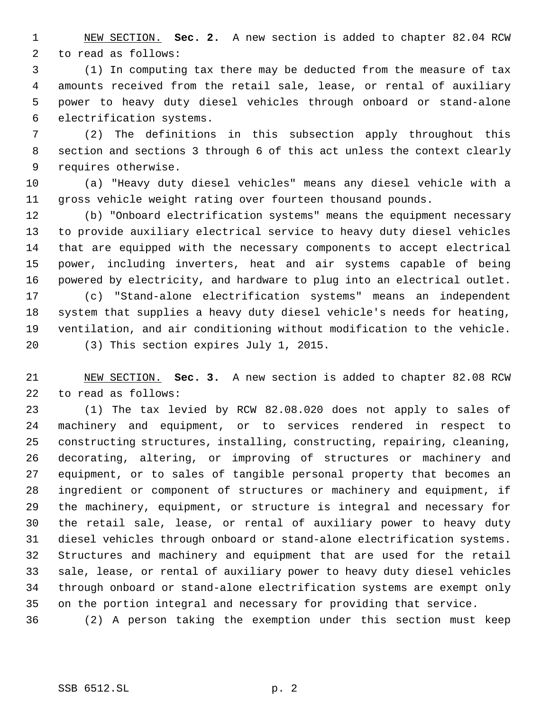NEW SECTION. **Sec. 2.** A new section is added to chapter 82.04 RCW to read as follows:

 (1) In computing tax there may be deducted from the measure of tax amounts received from the retail sale, lease, or rental of auxiliary power to heavy duty diesel vehicles through onboard or stand-alone electrification systems.

 (2) The definitions in this subsection apply throughout this section and sections 3 through 6 of this act unless the context clearly requires otherwise.

 (a) "Heavy duty diesel vehicles" means any diesel vehicle with a gross vehicle weight rating over fourteen thousand pounds.

 (b) "Onboard electrification systems" means the equipment necessary to provide auxiliary electrical service to heavy duty diesel vehicles that are equipped with the necessary components to accept electrical power, including inverters, heat and air systems capable of being powered by electricity, and hardware to plug into an electrical outlet. (c) "Stand-alone electrification systems" means an independent system that supplies a heavy duty diesel vehicle's needs for heating, ventilation, and air conditioning without modification to the vehicle. (3) This section expires July 1, 2015.

 NEW SECTION. **Sec. 3.** A new section is added to chapter 82.08 RCW to read as follows:

 (1) The tax levied by RCW 82.08.020 does not apply to sales of machinery and equipment, or to services rendered in respect to constructing structures, installing, constructing, repairing, cleaning, decorating, altering, or improving of structures or machinery and equipment, or to sales of tangible personal property that becomes an ingredient or component of structures or machinery and equipment, if the machinery, equipment, or structure is integral and necessary for the retail sale, lease, or rental of auxiliary power to heavy duty diesel vehicles through onboard or stand-alone electrification systems. Structures and machinery and equipment that are used for the retail sale, lease, or rental of auxiliary power to heavy duty diesel vehicles through onboard or stand-alone electrification systems are exempt only on the portion integral and necessary for providing that service.

(2) A person taking the exemption under this section must keep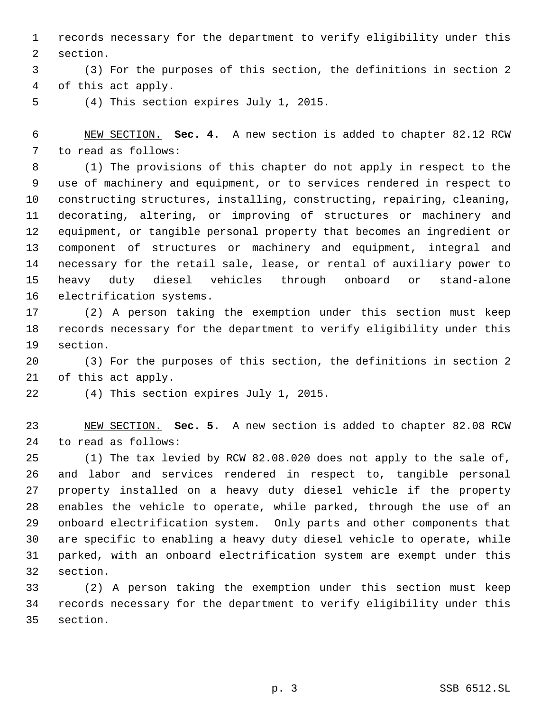records necessary for the department to verify eligibility under this section.

 (3) For the purposes of this section, the definitions in section 2 of this act apply.

(4) This section expires July 1, 2015.

 NEW SECTION. **Sec. 4.** A new section is added to chapter 82.12 RCW to read as follows:

 (1) The provisions of this chapter do not apply in respect to the use of machinery and equipment, or to services rendered in respect to constructing structures, installing, constructing, repairing, cleaning, decorating, altering, or improving of structures or machinery and equipment, or tangible personal property that becomes an ingredient or component of structures or machinery and equipment, integral and necessary for the retail sale, lease, or rental of auxiliary power to heavy duty diesel vehicles through onboard or stand-alone electrification systems.

 (2) A person taking the exemption under this section must keep records necessary for the department to verify eligibility under this section.

 (3) For the purposes of this section, the definitions in section 2 of this act apply.

(4) This section expires July 1, 2015.

 NEW SECTION. **Sec. 5.** A new section is added to chapter 82.08 RCW to read as follows:

 (1) The tax levied by RCW 82.08.020 does not apply to the sale of, and labor and services rendered in respect to, tangible personal property installed on a heavy duty diesel vehicle if the property enables the vehicle to operate, while parked, through the use of an onboard electrification system. Only parts and other components that are specific to enabling a heavy duty diesel vehicle to operate, while parked, with an onboard electrification system are exempt under this section.

 (2) A person taking the exemption under this section must keep records necessary for the department to verify eligibility under this section.